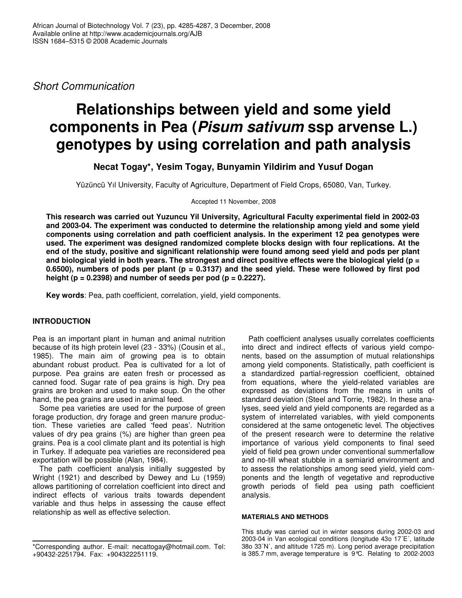*Short Communication*

# **Relationships between yield and some yield components in Pea (***Pisum sativum* **ssp arvense L.) genotypes by using correlation and path analysis**

**Necat Togay\*, Yesim Togay, Bunyamin Yildirim and Yusuf Dogan**

Yüzüncü Yıl University, Faculty of Agriculture, Department of Field Crops, 65080, Van, Turkey.

Accepted 11 November, 2008

**This research was carried out Yuzuncu Yil University, Agricultural Faculty experimental field in 2002-03 and 2003-04. The experiment was conducted to determine the relationship among yield and some yield components using correlation and path coefficient analysis. In the experiment 12 pea genotypes were used. The experiment was designed randomized complete blocks design with four replications. At the end of the study, positive and significant relationship were found among seed yield and pods per plant** and biological yield in both years. The strongest and direct positive effects were the biological yield ( $p =$ 0.6500), numbers of pods per plant ( $p = 0.3137$ ) and the seed yield. These were followed by first pod **height (p = 0.2398) and number of seeds per pod (p = 0.2227).**

**Key words**: Pea, path coefficient, correlation, yield, yield components.

## **INTRODUCTION**

Pea is an important plant in human and animal nutrition because of its high protein level (23 - 33%) (Cousin et al., 1985). The main aim of growing pea is to obtain abundant robust product. Pea is cultivated for a lot of purpose. Pea grains are eaten fresh or processed as canned food. Sugar rate of pea grains is high. Dry pea grains are broken and used to make soup. On the other hand, the pea grains are used in animal feed.

Some pea varieties are used for the purpose of green forage production, dry forage and green manure production. These varieties are called 'feed peas'. Nutrition values of dry pea grains (%) are higher than green pea grains. Pea is a cool climate plant and its potential is high in Turkey. If adequate pea varieties are reconsidered pea exportation will be possible (Alan, 1984).

The path coefficient analysis initially suggested by Wright (1921) and described by Dewey and Lu (1959) allows partitioning of correlation coefficient into direct and indirect effects of various traits towards dependent variable and thus helps in assessing the cause effect relationship as well as effective selection.

Path coefficient analyses usually correlates coefficients into direct and indirect effects of various yield components, based on the assumption of mutual relationships among yield components. Statistically, path coefficient is a standardized partial-regression coefficient, obtained from equations, where the yield-related variables are expressed as deviations from the means in units of standard deviation (Steel and Torrie, 1982). In these analyses, seed yield and yield components are regarded as a system of interrelated variables, with yield components considered at the same ontogenetic level. The objectives of the present research were to determine the relative importance of various yield components to final seed yield of field pea grown under conventional summerfallow and no-till wheat stubble in a semiarid environment and to assess the relationships among seed yield, yield components and the length of vegetative and reproductive growth periods of field pea using path coefficient analysis.

#### **MATERIALS AND METHODS**

This study was carried out in winter seasons during 2002-03 and 2003-04 in Van ecological conditions (longitude 43o 17´E´, latitude 38o 33´N´, and altitude 1725 m). Long period average precipitation is 385.7 mm, average temperature is 9°C. Relating to 2002-2003

<sup>\*</sup>Corresponding author. E-mail: necattogay@hotmail.com. Tel: +90432-2251794. Fax: +904322251119.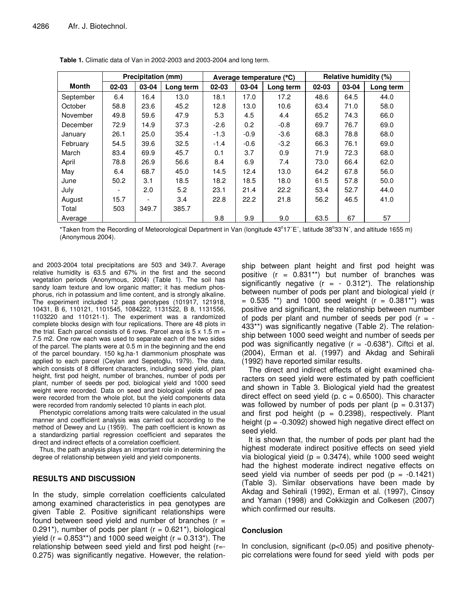|           | <b>Precipitation (mm)</b> |       |           |                             |        | Average temperature (°C) | Relative humidity (%) |           |      |  |
|-----------|---------------------------|-------|-----------|-----------------------------|--------|--------------------------|-----------------------|-----------|------|--|
| Month     | 02-03                     | 03-04 | Long term | 02-03<br>03-04<br>Long term |        | $02 - 03$                | 03-04                 | Long term |      |  |
| September | 6.4                       | 16.4  | 13.0      | 18.1                        | 17.0   | 17.2                     | 48.6                  | 64.5      | 44.0 |  |
| October   | 58.8                      | 23.6  | 45.2      | 12.8                        | 13.0   | 10.6                     | 63.4                  | 71.0      | 58.0 |  |
| November  | 49.8                      | 59.6  | 47.9      | 5.3                         | 4.5    | 4.4                      | 65.2                  | 74.3      | 66.0 |  |
| December  | 72.9                      | 14.9  | 37.3      | $-2.6$                      | 0.2    | $-0.8$                   | 69.7                  | 76.7      | 69.0 |  |
| January   | 26.1                      | 25.0  | 35.4      | $-1.3$                      | $-0.9$ | $-3.6$                   | 68.3                  | 78.8      | 68.0 |  |
| February  | 54.5                      | 39.6  | 32.5      | $-1.4$                      | $-0.6$ | $-3.2$                   | 66.3                  | 76.1      | 69.0 |  |
| March     | 83.4                      | 69.9  | 45.7      | 0.1                         | 3.7    | 0.9                      | 71.9                  | 72.3      | 68.0 |  |
| April     | 78.8                      | 26.9  | 56.6      | 8.4                         | 6.9    | 7.4                      | 73.0                  | 66.4      | 62.0 |  |
| May       | 6.4                       | 68.7  | 45.0      | 14.5                        | 12.4   | 13.0                     | 64.2                  | 67.8      | 56.0 |  |
| June      | 50.2                      | 3.1   | 18.5      | 18.2                        | 18.5   | 18.0                     | 61.5                  | 57.8      | 50.0 |  |
| July      |                           | 2.0   | 5.2       | 23.1                        | 21.4   | 22.2                     | 53.4                  | 52.7      | 44.0 |  |
| August    | 15.7                      |       | 3.4       | 22.8                        | 22.2   | 21.8                     | 56.2                  | 46.5      | 41.0 |  |
| Total     | 503                       | 349.7 | 385.7     |                             |        |                          |                       |           |      |  |
| Average   |                           |       |           | 9.8                         | 9.9    | 9.0                      | 63.5                  | 67        | 57   |  |

**Table 1.** Climatic data of Van in 2002-2003 and 2003-2004 and long term.

\*Taken from the Recording of Meteorological Department in Van (longitude 43°17´E´, latitude 38°33´N´, and altitude 1655 m) (Anonymous 2004).

and 2003-2004 total precipitations are 503 and 349.7. Average relative humidity is 63.5 and 67% in the first and the second vegetation periods (Anonymous, 2004) (Table 1). The soil has sandy loam texture and low organic matter; it has medium phosphorus, rich in potassium and lime content, and is strongly alkaline. The experiment included 12 peas genotypes (101917, 121918, 10431, B 6, 110121, 1101545, 1084222, 1131522, B 8, 1131556, 1103220 and 110121-1). The experiment was a randomized complete blocks design with four replications. There are 48 plots in the trial. Each parcel consists of 6 rows. Parcel area is  $5 \times 1.5$  m = 7.5 m2. One row each was used to separate each of the two sides of the parcel. The plants were at 0.5 m in the beginning and the end of the parcel boundary. 150 kg.ha-1 diammonium phosphate was applied to each parcel (Ceylan and Sepetoğlu, 1979). The data, which consists of 8 different characters, including seed yield, plant height, first pod height, number of branches, number of pods per plant, number of seeds per pod, biological yield and 1000 seed weight were recorded. Data on seed and biological yields of pea were recorded from the whole plot, but the yield components data were recorded from randomly selected 10 plants in each plot.

Phenotypic correlations among traits were calculated in the usual manner and coefficient analysis was carried out according to the method of Dewey and Lu (1959). The path coefficient is known as a standardizing partial regression coefficient and separates the direct and indirect effects of a correlation coefficient.

Thus, the path analysis plays an important role in determining the degree of relationship between yield and yield components.

### **RESULTS AND DISCUSSION**

In the study, simple correlation coefficients calculated among examined characteristics in pea genotypes are given Table 2. Positive significant relationships were found between seed yield and number of branches  $(r =$ 0.291<sup>\*</sup>), number of pods per plant ( $r = 0.621$ <sup>\*</sup>), biological yield ( $r = 0.853**$ ) and 1000 seed weight ( $r = 0.313*$ ). The relationship between seed yield and first pod height (r=- 0.275) was significantly negative. However, the relation-

ship between plant height and first pod height was positive  $(r = 0.831**)$  but number of branches was significantly negative  $(r = -0.312^*)$ . The relationship between number of pods per plant and biological yield (r  $= 0.535$  \*\*) and 1000 seed weight (r  $= 0.381$ \*\*) was positive and significant, the relationship between number of pods per plant and number of seeds per pod  $(r = -$ 433\*\*) was significantly negative (Table 2). The relationship between 1000 seed weight and number of seeds per pod was significantly negative  $(r = -0.638^*)$ . Ciftci et al. (2004), Erman et al. (1997) and Akdag and Sehirali (1992) have reported similar results.

The direct and indirect effects of eight examined characters on seed yield were estimated by path coefficient and shown in Table 3. Biological yield had the greatest direct effect on seed yield (p.  $c = 0.6500$ ). This character was followed by number of pods per plant ( $p = 0.3137$ ) and first pod height ( $p = 0.2398$ ), respectively. Plant height ( $p = -0.3092$ ) showed high negative direct effect on seed yield.

It is shown that, the number of pods per plant had the highest moderate indirect positive effects on seed yield via biological yieid ( $p = 0.3474$ ), while 1000 seed weight had the highest moderate indirect negative effects on seed yield via number of seeds per pod  $(p = -0.1421)$ (Table 3). Similar observations have been made by Akdag and Sehirali (1992), Erman et al. (1997), Cinsoy and Yaman (1998) and Cokkizgin and Colkesen (2007) which confirmed our results.

### **Conclusion**

In conclusion, significant (p<0.05) and positive phenotypic correlations were found for seed yield with pods per